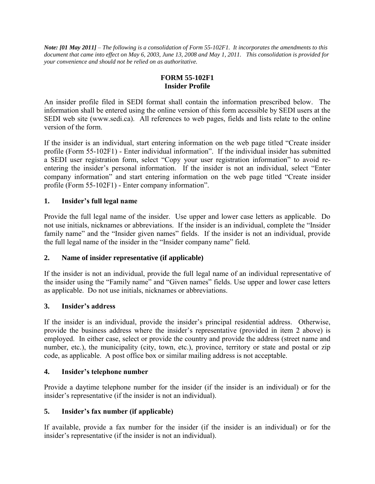*Note: [01 May 2011] – The following is a consolidation of Form 55-102F1. It incorporates the amendments to this document that came into effect on May 6, 2003, June 13, 2008 and May 1, 2011. This consolidation is provided for your convenience and should not be relied on as authoritative.*

# **FORM 55-102F1 Insider Profile**

An insider profile filed in SEDI format shall contain the information prescribed below. The information shall be entered using the online version of this form accessible by SEDI users at the SEDI web site (www.sedi.ca). All references to web pages, fields and lists relate to the online version of the form.

If the insider is an individual, start entering information on the web page titled "Create insider profile (Form 55-102F1) - Enter individual information". If the individual insider has submitted a SEDI user registration form, select "Copy your user registration information" to avoid reentering the insider's personal information. If the insider is not an individual, select "Enter company information" and start entering information on the web page titled "Create insider profile (Form 55-102F1) - Enter company information".

# **1. Insider's full legal name**

Provide the full legal name of the insider. Use upper and lower case letters as applicable. Do not use initials, nicknames or abbreviations. If the insider is an individual, complete the "Insider family name" and the "Insider given names" fields. If the insider is not an individual, provide the full legal name of the insider in the "Insider company name" field.

## **2. Name of insider representative (if applicable)**

If the insider is not an individual, provide the full legal name of an individual representative of the insider using the "Family name" and "Given names" fields. Use upper and lower case letters as applicable. Do not use initials, nicknames or abbreviations.

## **3. Insider's address**

If the insider is an individual, provide the insider's principal residential address. Otherwise, provide the business address where the insider's representative (provided in item 2 above) is employed. In either case, select or provide the country and provide the address (street name and number, etc.), the municipality (city, town, etc.), province, territory or state and postal or zip code, as applicable. A post office box or similar mailing address is not acceptable.

## **4. Insider's telephone number**

Provide a daytime telephone number for the insider (if the insider is an individual) or for the insider's representative (if the insider is not an individual).

# **5. Insider's fax number (if applicable)**

If available, provide a fax number for the insider (if the insider is an individual) or for the insider's representative (if the insider is not an individual).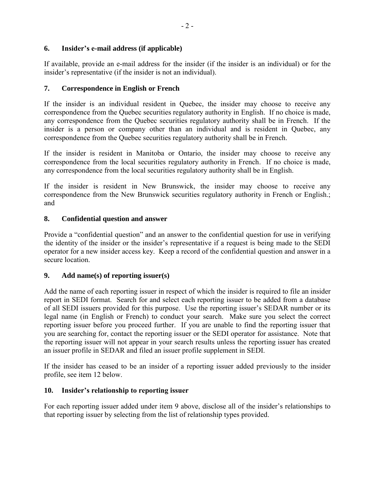## **6. Insider's e-mail address (if applicable)**

If available, provide an e-mail address for the insider (if the insider is an individual) or for the insider's representative (if the insider is not an individual).

# **7. Correspondence in English or French**

If the insider is an individual resident in Quebec, the insider may choose to receive any correspondence from the Quebec securities regulatory authority in English. If no choice is made, any correspondence from the Quebec securities regulatory authority shall be in French. If the insider is a person or company other than an individual and is resident in Quebec, any correspondence from the Quebec securities regulatory authority shall be in French.

If the insider is resident in Manitoba or Ontario, the insider may choose to receive any correspondence from the local securities regulatory authority in French. If no choice is made, any correspondence from the local securities regulatory authority shall be in English.

If the insider is resident in New Brunswick, the insider may choose to receive any correspondence from the New Brunswick securities regulatory authority in French or English.; and

# **8. Confidential question and answer**

Provide a "confidential question" and an answer to the confidential question for use in verifying the identity of the insider or the insider's representative if a request is being made to the SEDI operator for a new insider access key. Keep a record of the confidential question and answer in a secure location.

## **9. Add name(s) of reporting issuer(s)**

Add the name of each reporting issuer in respect of which the insider is required to file an insider report in SEDI format. Search for and select each reporting issuer to be added from a database of all SEDI issuers provided for this purpose. Use the reporting issuer's SEDAR number or its legal name (in English or French) to conduct your search. Make sure you select the correct reporting issuer before you proceed further. If you are unable to find the reporting issuer that you are searching for, contact the reporting issuer or the SEDI operator for assistance. Note that the reporting issuer will not appear in your search results unless the reporting issuer has created an issuer profile in SEDAR and filed an issuer profile supplement in SEDI.

If the insider has ceased to be an insider of a reporting issuer added previously to the insider profile, see item 12 below.

## **10. Insider's relationship to reporting issuer**

For each reporting issuer added under item 9 above, disclose all of the insider's relationships to that reporting issuer by selecting from the list of relationship types provided.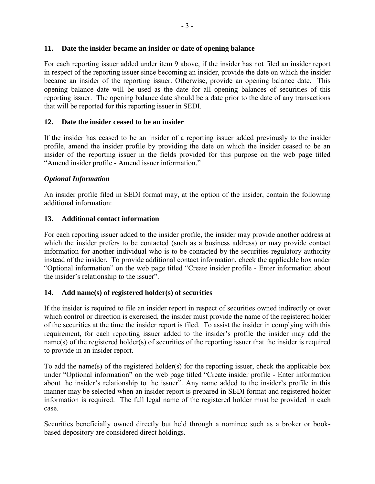### **11. Date the insider became an insider or date of opening balance**

For each reporting issuer added under item 9 above, if the insider has not filed an insider report in respect of the reporting issuer since becoming an insider, provide the date on which the insider became an insider of the reporting issuer. Otherwise, provide an opening balance date. This opening balance date will be used as the date for all opening balances of securities of this reporting issuer. The opening balance date should be a date prior to the date of any transactions that will be reported for this reporting issuer in SEDI.

### **12. Date the insider ceased to be an insider**

If the insider has ceased to be an insider of a reporting issuer added previously to the insider profile, amend the insider profile by providing the date on which the insider ceased to be an insider of the reporting issuer in the fields provided for this purpose on the web page titled "Amend insider profile - Amend issuer information."

### *Optional Information*

An insider profile filed in SEDI format may, at the option of the insider, contain the following additional information:

### **13. Additional contact information**

For each reporting issuer added to the insider profile, the insider may provide another address at which the insider prefers to be contacted (such as a business address) or may provide contact information for another individual who is to be contacted by the securities regulatory authority instead of the insider. To provide additional contact information, check the applicable box under "Optional information" on the web page titled "Create insider profile - Enter information about the insider's relationship to the issuer".

#### **14. Add name(s) of registered holder(s) of securities**

If the insider is required to file an insider report in respect of securities owned indirectly or over which control or direction is exercised, the insider must provide the name of the registered holder of the securities at the time the insider report is filed. To assist the insider in complying with this requirement, for each reporting issuer added to the insider's profile the insider may add the name(s) of the registered holder(s) of securities of the reporting issuer that the insider is required to provide in an insider report.

To add the name(s) of the registered holder(s) for the reporting issuer, check the applicable box under "Optional information" on the web page titled "Create insider profile - Enter information about the insider's relationship to the issuer". Any name added to the insider's profile in this manner may be selected when an insider report is prepared in SEDI format and registered holder information is required. The full legal name of the registered holder must be provided in each case.

Securities beneficially owned directly but held through a nominee such as a broker or bookbased depository are considered direct holdings.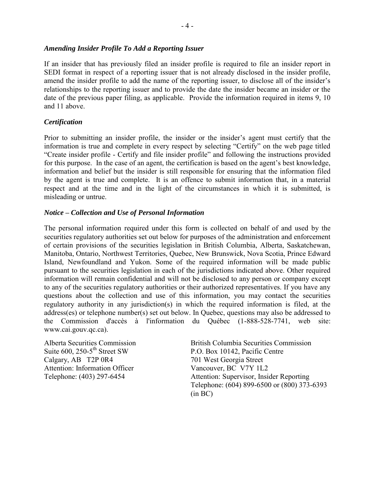#### *Amending Insider Profile To Add a Reporting Issuer*

If an insider that has previously filed an insider profile is required to file an insider report in SEDI format in respect of a reporting issuer that is not already disclosed in the insider profile, amend the insider profile to add the name of the reporting issuer, to disclose all of the insider's relationships to the reporting issuer and to provide the date the insider became an insider or the date of the previous paper filing, as applicable. Provide the information required in items 9, 10 and 11 above.

#### *Certification*

Prior to submitting an insider profile, the insider or the insider's agent must certify that the information is true and complete in every respect by selecting "Certify" on the web page titled "Create insider profile - Certify and file insider profile" and following the instructions provided for this purpose. In the case of an agent, the certification is based on the agent's best knowledge, information and belief but the insider is still responsible for ensuring that the information filed by the agent is true and complete. It is an offence to submit information that, in a material respect and at the time and in the light of the circumstances in which it is submitted, is misleading or untrue.

#### *Notice – Collection and Use of Personal Information*

The personal information required under this form is collected on behalf of and used by the securities regulatory authorities set out below for purposes of the administration and enforcement of certain provisions of the securities legislation in British Columbia, Alberta, Saskatchewan, Manitoba, Ontario, Northwest Territories, Quebec, New Brunswick, Nova Scotia, Prince Edward Island, Newfoundland and Yukon. Some of the required information will be made public pursuant to the securities legislation in each of the jurisdictions indicated above. Other required information will remain confidential and will not be disclosed to any person or company except to any of the securities regulatory authorities or their authorized representatives. If you have any questions about the collection and use of this information, you may contact the securities regulatory authority in any jurisdiction(s) in which the required information is filed, at the address(es) or telephone number(s) set out below. In Quebec, questions may also be addressed to the Commission d'accès à l'information du Québec (1-888-528-7741, web site: www.cai.gouv.qc.ca).

Alberta Securities Commission Suite 600, 250-5<sup>th</sup> Street SW Calgary, AB T2P 0R4 Attention: Information Officer Telephone: (403) 297-6454

British Columbia Securities Commission P.O. Box 10142, Pacific Centre 701 West Georgia Street Vancouver, BC V7Y 1L2 Attention: Supervisor, Insider Reporting Telephone: (604) 899-6500 or (800) 373-6393 (in BC)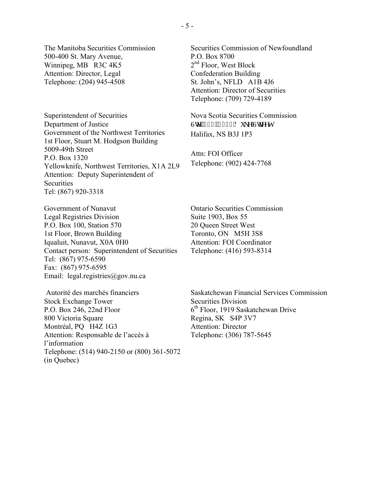The Manitoba Securities Commission 500-400 St. Mary Avenue, Winnipeg, MB R3C 4K5 Attention: Director, Legal Telephone: (204) 945-4508

Superintendent of Securities Department of Justice Government of the Northwest Territories 1st Floor, Stuart M. Hodgson Building 5009-49th Street P.O. Box 1320 Yellowknife, Northwest Territories, X1A 2L9 Attention: Deputy Superintendent of **Securities** Tel: (867) 920-3318

Government of Nunavut Legal Registries Division P.O. Box 100, Station 570 1st Floor, Brown Building Iqualuit, Nunavut, X0A 0H0 Contact person: Superintendent of Securities Tel: (867) 975-6590 Fax: (867) 975-6595 Email: legal.registries@gov.nu.ca

Autorité des marchés financiers Stock Exchange Tower P.O. Box 246, 22nd Floor 800 Victoria Square Montréal, PQ H4Z 1G3 Attention: Responsable de l'accès à l'information Telephone: (514) 940-2150 or (800) 361-5072 (in Quebec)

Securities Commission of Newfoundland P.O. Box 8700 2<sup>nd</sup> Floor, West Block Confederation Building St. John's, NFLD A1B 4J6 Attention: Director of Securities Telephone: (709) 729-4189

Nova Scotia Securities Commission Ug0'622.'7473'F wng"Utggy Halifax, NS B3J 1P3

Attn: FOI Officer Telephone: (902) 424-7768

Ontario Securities Commission Suite 1903, Box 55 20 Queen Street West Toronto, ON M5H 3S8 Attention: FOI Coordinator Telephone: (416) 593-8314

Saskatchewan Financial Services Commission Securities Division 6<sup>th</sup> Floor, 1919 Saskatchewan Drive Regina, SK S4P 3V7 Attention: Director Telephone: (306) 787-5645